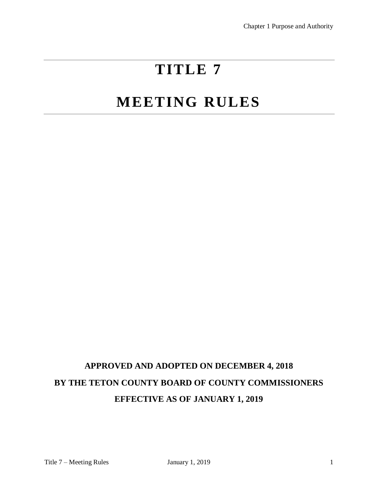# **TITLE 7**

# **MEETING RULES**

# **APPROVED AND ADOPTED ON DECEMBER 4, 2018 BY THE TETON COUNTY BOARD OF COUNTY COMMISSIONERS EFFECTIVE AS OF JANUARY 1, 2019**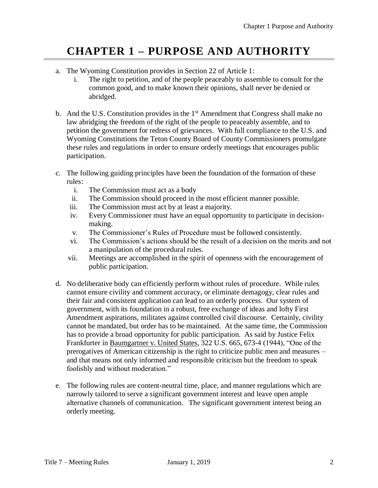# **CHAPTER 1 – PURPOSE AND AUTHORITY**

- a. The Wyoming Constitution provides in Section 22 of Article 1:
	- i. The right to petition, and of the people peaceably to assemble to consult for the common good, and to make known their opinions, shall never be denied or abridged.
- b. And the U.S. Constitution provides in the  $1<sup>st</sup>$  Amendment that Congress shall make no law abridging the freedom of the right of the people to peaceably assemble, and to petition the government for redress of grievances. With full compliance to the U.S. and Wyoming Constitutions the Teton County Board of County Commissioners promulgate these rules and regulations in order to ensure orderly meetings that encourages public participation.
- c. The following guiding principles have been the foundation of the formation of these rules:
	- i. The Commission must act as a body
	- ii. The Commission should proceed in the most efficient manner possible.
	- iii. The Commission must act by at least a majority.
	- iv. Every Commissioner must have an equal opportunity to participate in decisionmaking.
	- v. The Commissioner's Rules of Procedure must be followed consistently.
	- vi. The Commission's actions should be the result of a decision on the merits and not a manipulation of the procedural rules.
	- vii. Meetings are accomplished in the spirit of openness with the encouragement of public participation.
- d. No deliberative body can efficiently perform without rules of procedure. While rules cannot ensure civility and comment accuracy, or eliminate demagogy, clear rules and their fair and consistent application can lead to an orderly process. Our system of government, with its foundation in a robust, free exchange of ideas and lofty First Amendment aspirations, militates against controlled civil discourse. Certainly, civility cannot be mandated, but order has to be maintained. At the same time, the Commission has to provide a broad opportunity for public participation. As said by Justice Felix Frankfurter in Baumgartner v. United States, 322 U.S. 665, 673-4 (1944), "One of the prerogatives of American citizenship is the right to criticize public men and measures – and that means not only informed and responsible criticism but the freedom to speak foolishly and without moderation."
- e. The following rules are content-neutral time, place, and manner regulations which are narrowly tailored to serve a significant government interest and leave open ample alternative channels of communication. The significant government interest being an orderly meeting.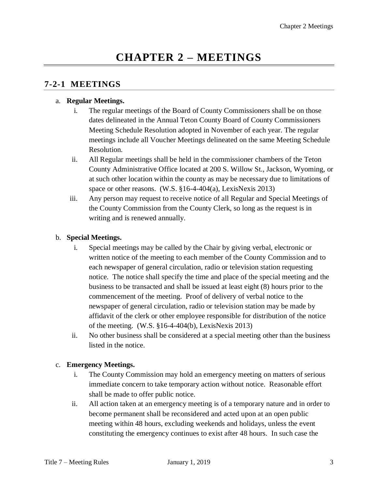# **CHAPTER 2 – MEETINGS**

### **7-2-1 MEETINGS**

#### a. **Regular Meetings.**

- i. The regular meetings of the Board of County Commissioners shall be on those dates delineated in the Annual Teton County Board of County Commissioners Meeting Schedule Resolution adopted in November of each year. The regular meetings include all Voucher Meetings delineated on the same Meeting Schedule Resolution.
- ii. All Regular meetings shall be held in the commissioner chambers of the Teton County Administrative Office located at 200 S. Willow St., Jackson, Wyoming, or at such other location within the county as may be necessary due to limitations of space or other reasons. (W.S.  $\S16-4-404(a)$ , LexisNexis 2013)
- iii. Any person may request to receive notice of all Regular and Special Meetings of the County Commission from the County Clerk, so long as the request is in writing and is renewed annually.

#### b. **Special Meetings.**

- i. Special meetings may be called by the Chair by giving verbal, electronic or written notice of the meeting to each member of the County Commission and to each newspaper of general circulation, radio or television station requesting notice. The notice shall specify the time and place of the special meeting and the business to be transacted and shall be issued at least eight (8) hours prior to the commencement of the meeting. Proof of delivery of verbal notice to the newspaper of general circulation, radio or television station may be made by affidavit of the clerk or other employee responsible for distribution of the notice of the meeting. (W.S. §16-4-404(b), LexisNexis 2013)
- ii. No other business shall be considered at a special meeting other than the business listed in the notice.

#### c. **Emergency Meetings.**

- i. The County Commission may hold an emergency meeting on matters of serious immediate concern to take temporary action without notice. Reasonable effort shall be made to offer public notice.
- ii. All action taken at an emergency meeting is of a temporary nature and in order to become permanent shall be reconsidered and acted upon at an open public meeting within 48 hours, excluding weekends and holidays, unless the event constituting the emergency continues to exist after 48 hours. In such case the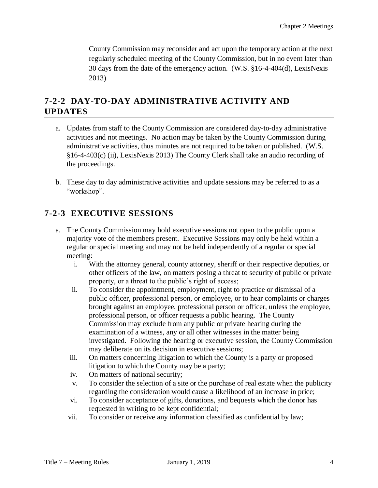County Commission may reconsider and act upon the temporary action at the next regularly scheduled meeting of the County Commission, but in no event later than 30 days from the date of the emergency action. (W.S. §16-4-404(d), LexisNexis 2013)

### **7-2-2 DAY-TO-DAY ADMINISTRATIVE ACTIVITY AND UPDATES**

- a. Updates from staff to the County Commission are considered day-to-day administrative activities and not meetings. No action may be taken by the County Commission during administrative activities, thus minutes are not required to be taken or published. (W.S. §16-4-403(c) (ii), LexisNexis 2013) The County Clerk shall take an audio recording of the proceedings.
- b. These day to day administrative activities and update sessions may be referred to as a "workshop".

#### **7-2-3 EXECUTIVE SESSIONS**

- a. The County Commission may hold executive sessions not open to the public upon a majority vote of the members present. Executive Sessions may only be held within a regular or special meeting and may not be held independently of a regular or special meeting:
	- i. With the attorney general, county attorney, sheriff or their respective deputies, or other officers of the law, on matters posing a threat to security of public or private property, or a threat to the public's right of access;
	- ii. To consider the appointment, employment, right to practice or dismissal of a public officer, professional person, or employee, or to hear complaints or charges brought against an employee, professional person or officer, unless the employee, professional person, or officer requests a public hearing. The County Commission may exclude from any public or private hearing during the examination of a witness, any or all other witnesses in the matter being investigated. Following the hearing or executive session, the County Commission may deliberate on its decision in executive sessions;
	- iii. On matters concerning litigation to which the County is a party or proposed litigation to which the County may be a party;
	- iv. On matters of national security;
	- v. To consider the selection of a site or the purchase of real estate when the publicity regarding the consideration would cause a likelihood of an increase in price;
	- vi. To consider acceptance of gifts, donations, and bequests which the donor has requested in writing to be kept confidential;
	- vii. To consider or receive any information classified as confidential by law;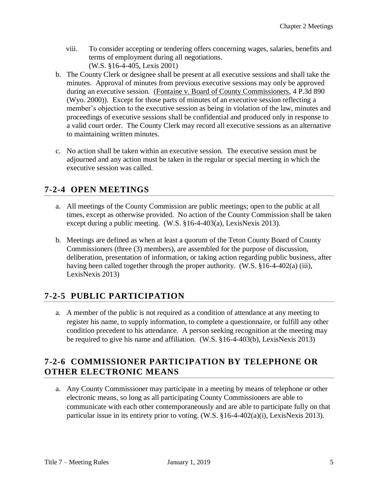- viii. To consider accepting or tendering offers concerning wages, salaries, benefits and terms of employment during all negotiations. (W.S. §16-4-405, Lexis 2001)
- b. The County Clerk or designee shall be present at all executive sessions and shall take the minutes. Approval of minutes from previous executive sessions may only be approved during an executive session. (Fontaine v. Board of County Commissioners, 4 P.3d 890 (Wyo. 2000)). Except for those parts of minutes of an executive session reflecting a member's objection to the executive session as being in violation of the law, minutes and proceedings of executive sessions shall be confidential and produced only in response to a valid court order. The County Clerk may record all executive sessions as an alternative to maintaining written minutes.
- c. No action shall be taken within an executive session. The executive session must be adjourned and any action must be taken in the regular or special meeting in which the executive session was called.

### **7-2-4 OPEN MEETINGS**

- a. All meetings of the County Commission are public meetings; open to the public at all times, except as otherwise provided. No action of the County Commission shall be taken except during a public meeting. (W.S. §16-4-403(a), LexisNexis 2013).
- b. Meetings are defined as when at least a quorum of the Teton County Board of County Commissioners (three (3) members), are assembled for the purpose of discussion, deliberation, presentation of information, or taking action regarding public business, after having been called together through the proper authority. (W.S. §16-4-402(a) (iii), LexisNexis 2013)

## **7-2-5 PUBLIC PARTICIPATION**

a. A member of the public is not required as a condition of attendance at any meeting to register his name, to supply information, to complete a questionnaire, or fulfill any other condition precedent to his attendance. A person seeking recognition at the meeting may be required to give his name and affiliation. (W.S. §16-4-403(b), LexisNexis 2013)

### **7-2-6 COMMISSIONER PARTICIPATION BY TELEPHONE OR OTHER ELECTRONIC MEANS**

a. Any County Commissioner may participate in a meeting by means of telephone or other electronic means, so long as all participating County Commissioners are able to communicate with each other contemporaneously and are able to participate fully on that particular issue in its entirety prior to voting. (W.S. §16-4-402(a)(i), LexisNexis 2013).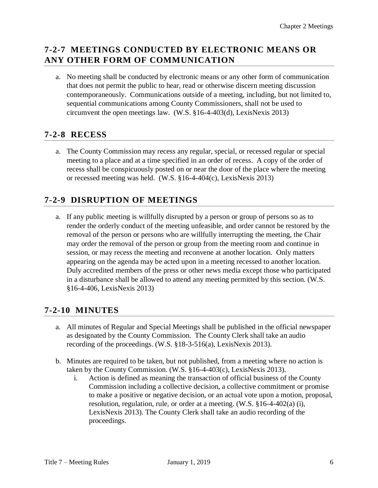#### **7-2-7 MEETINGS CONDUCTED BY ELECTRONIC MEANS OR ANY OTHER FORM OF COMMUNICATION**

a. No meeting shall be conducted by electronic means or any other form of communication that does not permit the public to hear, read or otherwise discern meeting discussion contemporaneously. Communications outside of a meeting, including, but not limited to, sequential communications among County Commissioners, shall not be used to circumvent the open meetings law. (W.S. §16-4-403(d), LexisNexis 2013)

### **7-2-8 RECESS**

a. The County Commission may recess any regular, special, or recessed regular or special meeting to a place and at a time specified in an order of recess. A copy of the order of recess shall be conspicuously posted on or near the door of the place where the meeting or recessed meeting was held. (W.S. §16-4-404(c), LexisNexis 2013)

#### **7-2-9 DISRUPTION OF MEETINGS**

a. If any public meeting is willfully disrupted by a person or group of persons so as to render the orderly conduct of the meeting unfeasible, and order cannot be restored by the removal of the person or persons who are willfully interrupting the meeting, the Chair may order the removal of the person or group from the meeting room and continue in session, or may recess the meeting and reconvene at another location. Only matters appearing on the agenda may be acted upon in a meeting recessed to another location. Duly accredited members of the press or other news media except those who participated in a disturbance shall be allowed to attend any meeting permitted by this section. (W.S. §16-4-406, LexisNexis 2013)

#### **7-2-10 MINUTES**

- a. All minutes of Regular and Special Meetings shall be published in the official newspaper as designated by the County Commission. The County Clerk shall take an audio recording of the proceedings. (W.S. §18-3-516(a), LexisNexis 2013).
- b. Minutes are required to be taken, but not published, from a meeting where no action is taken by the County Commission. (W.S. §16-4-403(c), LexisNexis 2013).
	- i. Action is defined as meaning the transaction of official business of the County Commission including a collective decision, a collective commitment or promise to make a positive or negative decision, or an actual vote upon a motion, proposal, resolution, regulation, rule, or order at a meeting. (W.S. §16-4-402(a) (i), LexisNexis 2013). The County Clerk shall take an audio recording of the proceedings.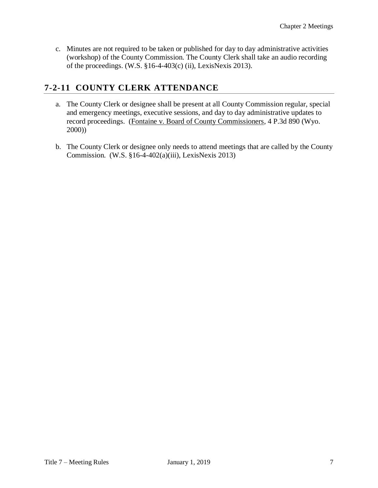c. Minutes are not required to be taken or published for day to day administrative activities (workshop) of the County Commission. The County Clerk shall take an audio recording of the proceedings. (W.S. §16-4-403(c) (ii), LexisNexis 2013).

#### **7-2-11 COUNTY CLERK ATTENDANCE**

- a. The County Clerk or designee shall be present at all County Commission regular, special and emergency meetings, executive sessions, and day to day administrative updates to record proceedings. (Fontaine v. Board of County Commissioners, 4 P.3d 890 (Wyo. 2000))
- b. The County Clerk or designee only needs to attend meetings that are called by the County Commission. (W.S. §16-4-402(a)(iii), LexisNexis 2013)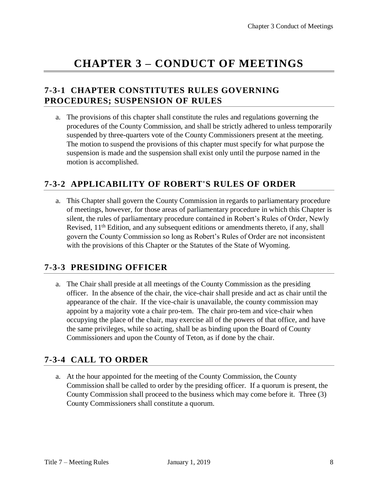## **CHAPTER 3 – CONDUCT OF MEETINGS**

#### **7-3-1 CHAPTER CONSTITUTES RULES GOVERNING PROCEDURES; SUSPENSION OF RULES**

a. The provisions of this chapter shall constitute the rules and regulations governing the procedures of the County Commission, and shall be strictly adhered to unless temporarily suspended by three-quarters vote of the County Commissioners present at the meeting. The motion to suspend the provisions of this chapter must specify for what purpose the suspension is made and the suspension shall exist only until the purpose named in the motion is accomplished.

#### **7-3-2 APPLICABILITY OF ROBERT'S RULES OF ORDER**

a. This Chapter shall govern the County Commission in regards to parliamentary procedure of meetings, however, for those areas of parliamentary procedure in which this Chapter is silent, the rules of parliamentary procedure contained in Robert's Rules of Order, Newly Revised,  $11<sup>th</sup>$  Edition, and any subsequent editions or amendments thereto, if any, shall govern the County Commission so long as Robert's Rules of Order are not inconsistent with the provisions of this Chapter or the Statutes of the State of Wyoming.

#### **7-3-3 PRESIDING OFFICER**

a. The Chair shall preside at all meetings of the County Commission as the presiding officer. In the absence of the chair, the vice-chair shall preside and act as chair until the appearance of the chair. If the vice-chair is unavailable, the county commission may appoint by a majority vote a chair pro-tem. The chair pro-tem and vice-chair when occupying the place of the chair, may exercise all of the powers of that office, and have the same privileges, while so acting, shall be as binding upon the Board of County Commissioners and upon the County of Teton, as if done by the chair.

#### **7-3-4 CALL TO ORDER**

a. At the hour appointed for the meeting of the County Commission, the County Commission shall be called to order by the presiding officer. If a quorum is present, the County Commission shall proceed to the business which may come before it. Three (3) County Commissioners shall constitute a quorum.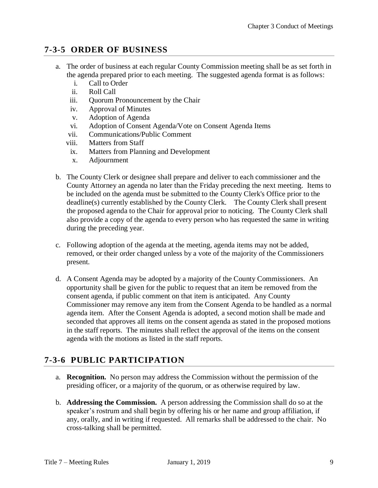#### **7-3-5 ORDER OF BUSINESS**

- a. The order of business at each regular County Commission meeting shall be as set forth in the agenda prepared prior to each meeting. The suggested agenda format is as follows:
	- i. Call to Order
	- ii. Roll Call
	- iii. Quorum Pronouncement by the Chair
	- iv. Approval of Minutes
	- v. Adoption of Agenda
	- vi. Adoption of Consent Agenda/Vote on Consent Agenda Items
	- vii. Communications/Public Comment
	- viii. Matters from Staff
	- ix. Matters from Planning and Development
	- x. Adjournment
- b. The County Clerk or designee shall prepare and deliver to each commissioner and the County Attorney an agenda no later than the Friday preceding the next meeting. Items to be included on the agenda must be submitted to the County Clerk's Office prior to the deadline(s) currently established by the County Clerk. The County Clerk shall present the proposed agenda to the Chair for approval prior to noticing. The County Clerk shall also provide a copy of the agenda to every person who has requested the same in writing during the preceding year.
- c. Following adoption of the agenda at the meeting, agenda items may not be added, removed, or their order changed unless by a vote of the majority of the Commissioners present.
- d. A Consent Agenda may be adopted by a majority of the County Commissioners. An opportunity shall be given for the public to request that an item be removed from the consent agenda, if public comment on that item is anticipated. Any County Commissioner may remove any item from the Consent Agenda to be handled as a normal agenda item. After the Consent Agenda is adopted, a second motion shall be made and seconded that approves all items on the consent agenda as stated in the proposed motions in the staff reports. The minutes shall reflect the approval of the items on the consent agenda with the motions as listed in the staff reports.

## **7-3-6 PUBLIC PARTICIPATION**

- a. **Recognition.** No person may address the Commission without the permission of the presiding officer, or a majority of the quorum, or as otherwise required by law.
- b. **Addressing the Commission.** A person addressing the Commission shall do so at the speaker's rostrum and shall begin by offering his or her name and group affiliation, if any, orally, and in writing if requested. All remarks shall be addressed to the chair. No cross-talking shall be permitted.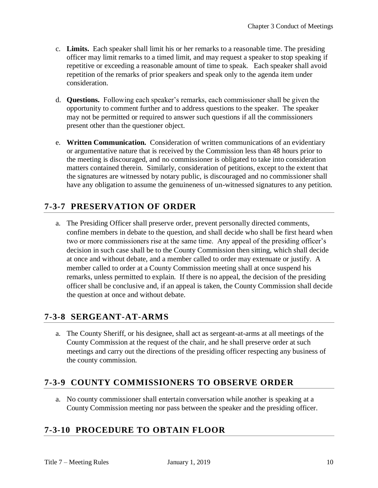- c. **Limits.** Each speaker shall limit his or her remarks to a reasonable time. The presiding officer may limit remarks to a timed limit, and may request a speaker to stop speaking if repetitive or exceeding a reasonable amount of time to speak. Each speaker shall avoid repetition of the remarks of prior speakers and speak only to the agenda item under consideration.
- d. **Questions.** Following each speaker's remarks, each commissioner shall be given the opportunity to comment further and to address questions to the speaker. The speaker may not be permitted or required to answer such questions if all the commissioners present other than the questioner object.
- e. **Written Communication.** Consideration of written communications of an evidentiary or argumentative nature that is received by the Commission less than 48 hours prior to the meeting is discouraged, and no commissioner is obligated to take into consideration matters contained therein. Similarly, consideration of petitions, except to the extent that the signatures are witnessed by notary public, is discouraged and no commissioner shall have any obligation to assume the genuineness of un-witnessed signatures to any petition.

#### **7-3-7 PRESERVATION OF ORDER**

a. The Presiding Officer shall preserve order, prevent personally directed comments, confine members in debate to the question, and shall decide who shall be first heard when two or more commissioners rise at the same time. Any appeal of the presiding officer's decision in such case shall be to the County Commission then sitting, which shall decide at once and without debate, and a member called to order may extenuate or justify. A member called to order at a County Commission meeting shall at once suspend his remarks, unless permitted to explain. If there is no appeal, the decision of the presiding officer shall be conclusive and, if an appeal is taken, the County Commission shall decide the question at once and without debate.

#### **7-3-8 SERGEANT-AT-ARMS**

a. The County Sheriff, or his designee, shall act as sergeant-at-arms at all meetings of the County Commission at the request of the chair, and he shall preserve order at such meetings and carry out the directions of the presiding officer respecting any business of the county commission.

#### **7-3-9 COUNTY COMMISSIONERS TO OBSERVE ORDER**

a. No county commissioner shall entertain conversation while another is speaking at a County Commission meeting nor pass between the speaker and the presiding officer.

#### **7-3-10 PROCEDURE TO OBTAIN FLOOR**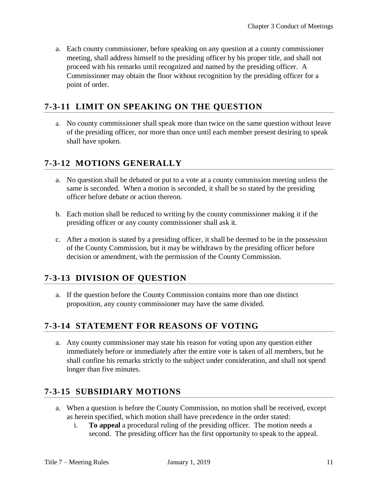a. Each county commissioner, before speaking on any question at a county commissioner meeting, shall address himself to the presiding officer by his proper title, and shall not proceed with his remarks until recognized and named by the presiding officer. A Commissioner may obtain the floor without recognition by the presiding officer for a point of order.

#### **7-3-11 LIMIT ON SPEAKING ON THE QUESTION**

a. No county commissioner shall speak more than twice on the same question without leave of the presiding officer, nor more than once until each member present desiring to speak shall have spoken.

#### **7-3-12 MOTIONS GENERALLY**

- a. No question shall be debated or put to a vote at a county commission meeting unless the same is seconded. When a motion is seconded, it shall be so stated by the presiding officer before debate or action thereon.
- b. Each motion shall be reduced to writing by the county commissioner making it if the presiding officer or any county commissioner shall ask it.
- c. After a motion is stated by a presiding officer, it shall be deemed to be in the possession of the County Commission, but it may be withdrawn by the presiding officer before decision or amendment, with the permission of the County Commission.

#### **7-3-13 DIVISION OF QUESTION**

a. If the question before the County Commission contains more than one distinct proposition, any county commissioner may have the same divided.

#### **7-3-14 STATEMENT FOR REASONS OF VOTING**

a. Any county commissioner may state his reason for voting upon any question either immediately before or immediately after the entire vote is taken of all members, but he shall confine his remarks strictly to the subject under consideration, and shall not spend longer than five minutes.

#### **7-3-15 SUBSIDIARY MOTIONS**

- a. When a question is before the County Commission, no motion shall be received, except as herein specified, which motion shall have precedence in the order stated:
	- i. **To appeal** a procedural ruling of the presiding officer. The motion needs a second. The presiding officer has the first opportunity to speak to the appeal.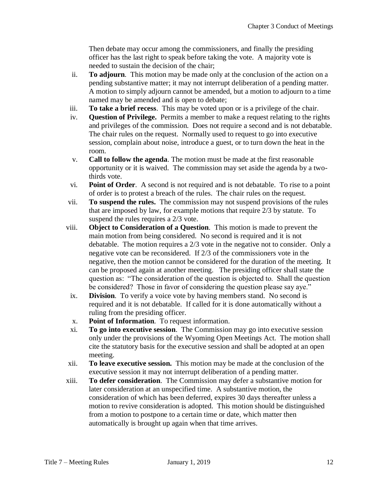Then debate may occur among the commissioners, and finally the presiding officer has the last right to speak before taking the vote. A majority vote is needed to sustain the decision of the chair;

- ii. **To adjourn**. This motion may be made only at the conclusion of the action on a pending substantive matter; it may not interrupt deliberation of a pending matter. A motion to simply adjourn cannot be amended, but a motion to adjourn to a time named may be amended and is open to debate;
- iii. **To take a brief recess**. This may be voted upon or is a privilege of the chair.
- iv. **Question of Privilege.** Permits a member to make a request relating to the rights and privileges of the commission. Does not require a second and is not debatable. The chair rules on the request. Normally used to request to go into executive session, complain about noise, introduce a guest, or to turn down the heat in the room.
- v. **Call to follow the agenda**. The motion must be made at the first reasonable opportunity or it is waived. The commission may set aside the agenda by a twothirds vote.
- vi. **Point of Order**. A second is not required and is not debatable. To rise to a point of order is to protest a breach of the rules. The chair rules on the request.
- vii. **To suspend the rules.** The commission may not suspend provisions of the rules that are imposed by law, for example motions that require 2/3 by statute. To suspend the rules requires a 2/3 vote.
- viii. **Object to Consideration of a Question**. This motion is made to prevent the main motion from being considered. No second is required and it is not debatable. The motion requires a 2/3 vote in the negative not to consider. Only a negative vote can be reconsidered. If 2/3 of the commissioners vote in the negative, then the motion cannot be considered for the duration of the meeting. It can be proposed again at another meeting. The presiding officer shall state the question as: "The consideration of the question is objected to. Shall the question be considered? Those in favor of considering the question please say aye."
	- ix. **Division**.To verify a voice vote by having members stand. No second is required and it is not debatable. If called for it is done automatically without a ruling from the presiding officer.
	- x. **Point of Information**. To request information.
	- xi. **To go into executive session**. The Commission may go into executive session only under the provisions of the Wyoming Open Meetings Act. The motion shall cite the statutory basis for the executive session and shall be adopted at an open meeting.
- xii. **To leave executive session.** This motion may be made at the conclusion of the executive session it may not interrupt deliberation of a pending matter.
- xiii. **To defer consideration**. The Commission may defer a substantive motion for later consideration at an unspecified time. A substantive motion, the consideration of which has been deferred, expires 30 days thereafter unless a motion to revive consideration is adopted. This motion should be distinguished from a motion to postpone to a certain time or date, which matter then automatically is brought up again when that time arrives.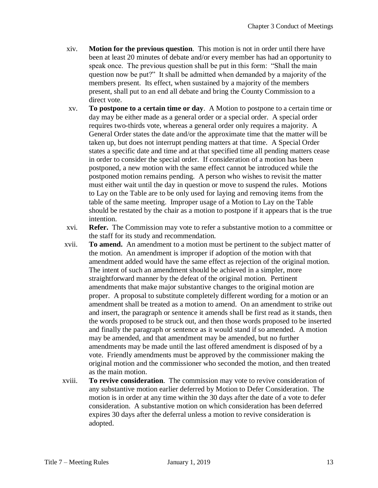- xiv. **Motion for the previous question**. This motion is not in order until there have been at least 20 minutes of debate and/or every member has had an opportunity to speak once. The previous question shall be put in this form: "Shall the main question now be put?" It shall be admitted when demanded by a majority of the members present. Its effect, when sustained by a majority of the members present, shall put to an end all debate and bring the County Commission to a direct vote.
- xv. **To postpone to a certain time or day**. A Motion to postpone to a certain time or day may be either made as a general order or a special order. A special order requires two-thirds vote, whereas a general order only requires a majority. A General Order states the date and/or the approximate time that the matter will be taken up, but does not interrupt pending matters at that time. A Special Order states a specific date and time and at that specified time all pending matters cease in order to consider the special order. If consideration of a motion has been postponed, a new motion with the same effect cannot be introduced while the postponed motion remains pending. A person who wishes to revisit the matter must either wait until the day in question or move to suspend the rules. Motions to Lay on the Table are to be only used for laying and removing items from the table of the same meeting. Improper usage of a Motion to Lay on the Table should be restated by the chair as a motion to postpone if it appears that is the true intention.
- xvi. **Refer.** The Commission may vote to refer a substantive motion to a committee or the staff for its study and recommendation.
- xvii. **To amend.** An amendment to a motion must be pertinent to the subject matter of the motion. An amendment is improper if adoption of the motion with that amendment added would have the same effect as rejection of the original motion. The intent of such an amendment should be achieved in a simpler, more straightforward manner by the defeat of the original motion. Pertinent amendments that make major substantive changes to the original motion are proper. A proposal to substitute completely different wording for a motion or an amendment shall be treated as a motion to amend. On an amendment to strike out and insert, the paragraph or sentence it amends shall be first read as it stands, then the words proposed to be struck out, and then those words proposed to be inserted and finally the paragraph or sentence as it would stand if so amended. A motion may be amended, and that amendment may be amended, but no further amendments may be made until the last offered amendment is disposed of by a vote. Friendly amendments must be approved by the commissioner making the original motion and the commissioner who seconded the motion, and then treated as the main motion.
- xviii. **To revive consideration**. The commission may vote to revive consideration of any substantive motion earlier deferred by Motion to Defer Consideration. The motion is in order at any time within the 30 days after the date of a vote to defer consideration. A substantive motion on which consideration has been deferred expires 30 days after the deferral unless a motion to revive consideration is adopted.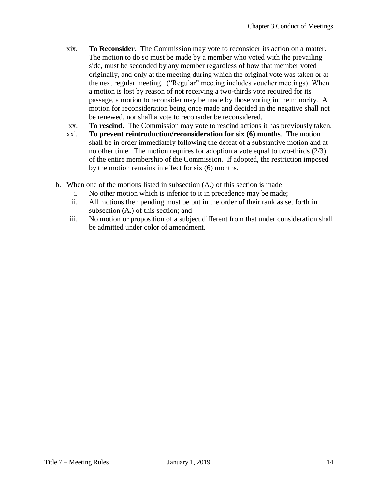- xix. **To Reconsider**. The Commission may vote to reconsider its action on a matter. The motion to do so must be made by a member who voted with the prevailing side, must be seconded by any member regardless of how that member voted originally, and only at the meeting during which the original vote was taken or at the next regular meeting. ("Regular" meeting includes voucher meetings). When a motion is lost by reason of not receiving a two-thirds vote required for its passage, a motion to reconsider may be made by those voting in the minority. A motion for reconsideration being once made and decided in the negative shall not be renewed, nor shall a vote to reconsider be reconsidered.
- xx. **To rescind**. The Commission may vote to rescind actions it has previously taken.
- xxi. **To prevent reintroduction/reconsideration for six (6) months**. The motion shall be in order immediately following the defeat of a substantive motion and at no other time. The motion requires for adoption a vote equal to two-thirds (2/3) of the entire membership of the Commission. If adopted, the restriction imposed by the motion remains in effect for six (6) months.
- b. When one of the motions listed in subsection (A.) of this section is made:
	- i. No other motion which is inferior to it in precedence may be made;
	- ii. All motions then pending must be put in the order of their rank as set forth in subsection (A.) of this section; and
	- iii. No motion or proposition of a subject different from that under consideration shall be admitted under color of amendment.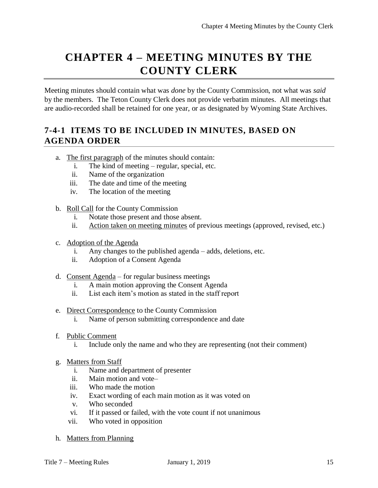# **CHAPTER 4 – MEETING MINUTES BY THE COUNTY CLERK**

Meeting minutes should contain what was *done* by the County Commission, not what was *said* by the members. The Teton County Clerk does not provide verbatim minutes. All meetings that are audio-recorded shall be retained for one year, or as designated by Wyoming State Archives.

### **7-4-1 ITEMS TO BE INCLUDED IN MINUTES, BASED ON AGENDA ORDER**

- a. The first paragraph of the minutes should contain:
	- i. The kind of meeting regular, special, etc.
	- ii. Name of the organization
	- iii. The date and time of the meeting
	- iv. The location of the meeting
- b. Roll Call for the County Commission
	- i. Notate those present and those absent.
	- ii. Action taken on meeting minutes of previous meetings (approved, revised, etc.)
- c. Adoption of the Agenda
	- i. Any changes to the published agenda adds, deletions, etc.
	- ii. Adoption of a Consent Agenda
- d. Consent Agenda for regular business meetings
	- i. A main motion approving the Consent Agenda
	- ii. List each item's motion as stated in the staff report
- e. Direct Correspondence to the County Commission
	- i. Name of person submitting correspondence and date
- f. Public Comment
	- i. Include only the name and who they are representing (not their comment)
- g. Matters from Staff
	- i. Name and department of presenter
	- ii. Main motion and vote–
	- iii. Who made the motion
	- iv. Exact wording of each main motion as it was voted on
	- v. Who seconded
	- vi. If it passed or failed, with the vote count if not unanimous
	- vii. Who voted in opposition
- h. Matters from Planning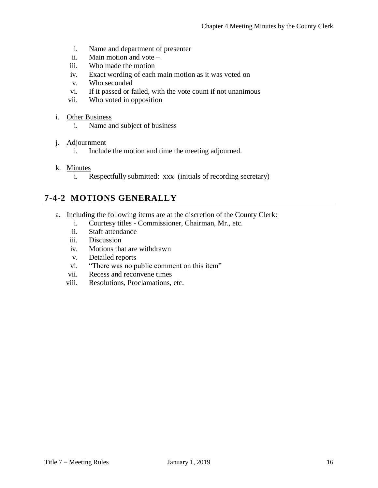- i. Name and department of presenter
- ii. Main motion and vote –
- iii. Who made the motion
- iv. Exact wording of each main motion as it was voted on
- v. Who seconded
- vi. If it passed or failed, with the vote count if not unanimous
- vii. Who voted in opposition
- i. Other Business
	- i. Name and subject of business

#### j. Adjournment

- i. Include the motion and time the meeting adjourned.
- k. Minutes
	- i. Respectfully submitted: xxx (initials of recording secretary)

#### **7-4-2 MOTIONS GENERALLY**

- a. Including the following items are at the discretion of the County Clerk:
	- i. Courtesy titles Commissioner, Chairman, Mr., etc.
	- ii. Staff attendance
	- iii. Discussion
	- iv. Motions that are withdrawn
	- v. Detailed reports
	- vi. "There was no public comment on this item"
	- vii. Recess and reconvene times
	- viii. Resolutions, Proclamations, etc.